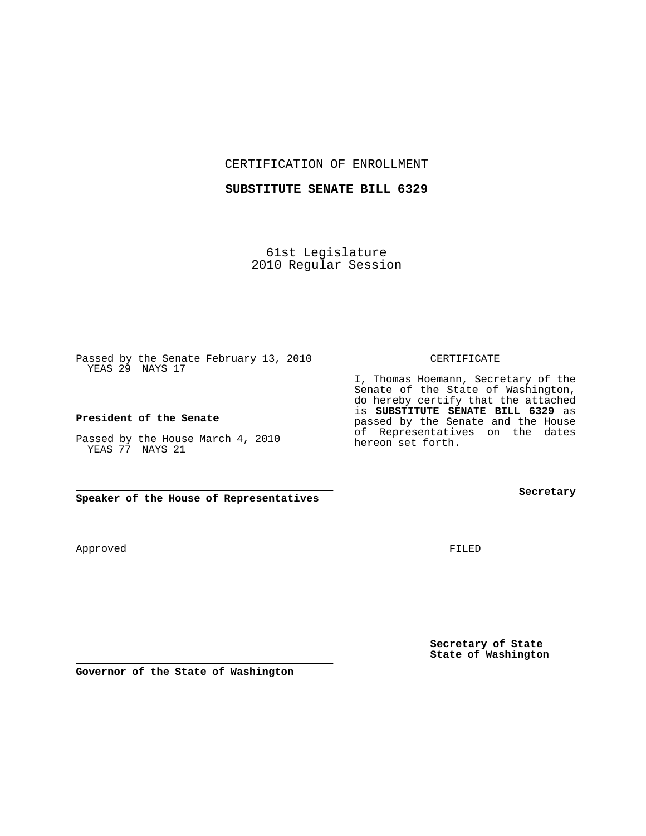CERTIFICATION OF ENROLLMENT

## **SUBSTITUTE SENATE BILL 6329**

61st Legislature 2010 Regular Session

Passed by the Senate February 13, 2010 YEAS 29 NAYS 17

## **President of the Senate**

Passed by the House March 4, 2010 YEAS 77 NAYS 21

**Speaker of the House of Representatives**

**Governor of the State of Washington**

Approved

FILED

**Secretary of State State of Washington**

CERTIFICATE

I, Thomas Hoemann, Secretary of the Senate of the State of Washington, do hereby certify that the attached is **SUBSTITUTE SENATE BILL 6329** as passed by the Senate and the House of Representatives on the dates hereon set forth.

**Secretary**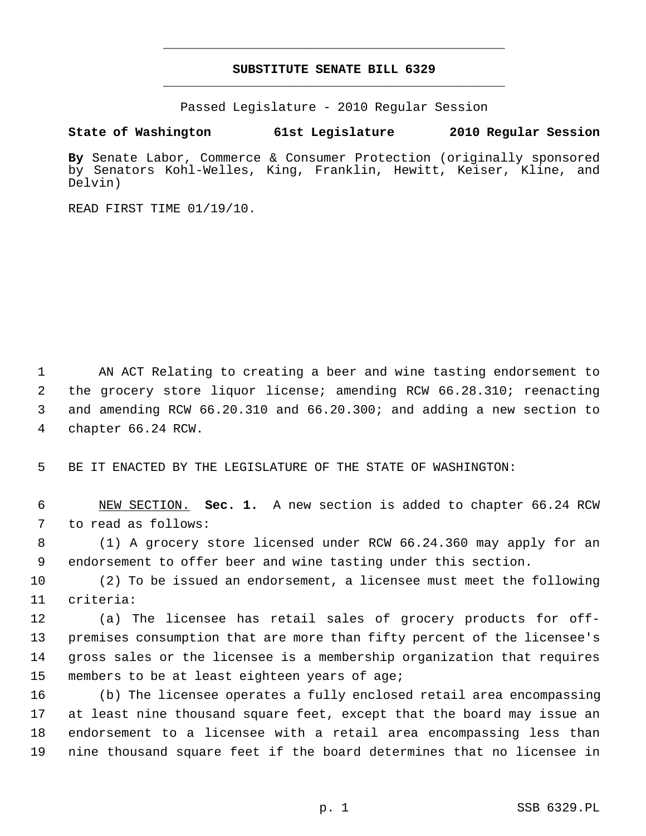## **SUBSTITUTE SENATE BILL 6329** \_\_\_\_\_\_\_\_\_\_\_\_\_\_\_\_\_\_\_\_\_\_\_\_\_\_\_\_\_\_\_\_\_\_\_\_\_\_\_\_\_\_\_\_\_

\_\_\_\_\_\_\_\_\_\_\_\_\_\_\_\_\_\_\_\_\_\_\_\_\_\_\_\_\_\_\_\_\_\_\_\_\_\_\_\_\_\_\_\_\_

Passed Legislature - 2010 Regular Session

## **State of Washington 61st Legislature 2010 Regular Session**

**By** Senate Labor, Commerce & Consumer Protection (originally sponsored by Senators Kohl-Welles, King, Franklin, Hewitt, Keiser, Kline, and Delvin)

READ FIRST TIME 01/19/10.

 1 AN ACT Relating to creating a beer and wine tasting endorsement to 2 the grocery store liquor license; amending RCW 66.28.310; reenacting 3 and amending RCW 66.20.310 and 66.20.300; and adding a new section to 4 chapter 66.24 RCW.

5 BE IT ENACTED BY THE LEGISLATURE OF THE STATE OF WASHINGTON:

 6 NEW SECTION. **Sec. 1.** A new section is added to chapter 66.24 RCW 7 to read as follows:

 8 (1) A grocery store licensed under RCW 66.24.360 may apply for an 9 endorsement to offer beer and wine tasting under this section.

10 (2) To be issued an endorsement, a licensee must meet the following 11 criteria:

12 (a) The licensee has retail sales of grocery products for off-13 premises consumption that are more than fifty percent of the licensee's 14 gross sales or the licensee is a membership organization that requires 15 members to be at least eighteen years of age;

16 (b) The licensee operates a fully enclosed retail area encompassing 17 at least nine thousand square feet, except that the board may issue an 18 endorsement to a licensee with a retail area encompassing less than 19 nine thousand square feet if the board determines that no licensee in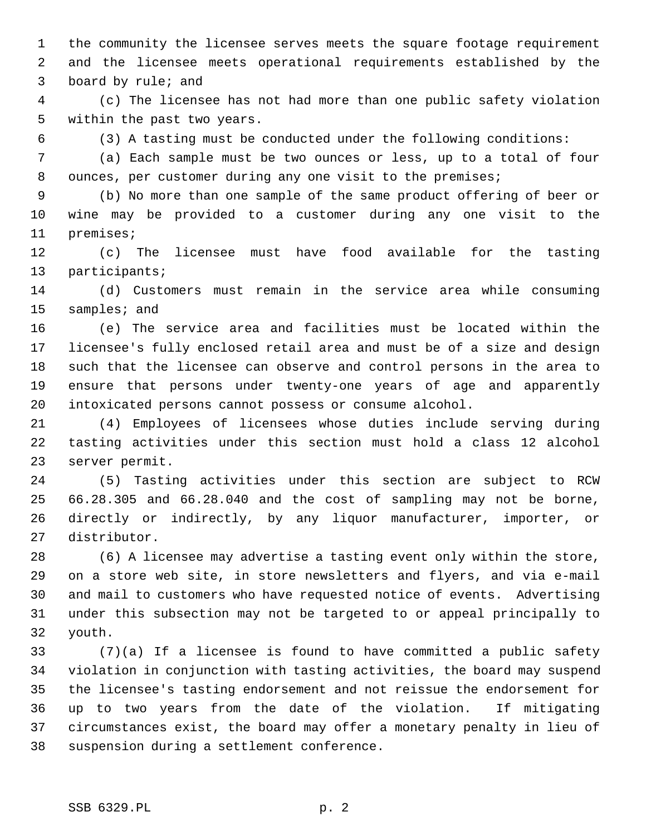1 the community the licensee serves meets the square footage requirement 2 and the licensee meets operational requirements established by the 3 board by rule; and

 4 (c) The licensee has not had more than one public safety violation 5 within the past two years.

6 (3) A tasting must be conducted under the following conditions:

 7 (a) Each sample must be two ounces or less, up to a total of four 8 ounces, per customer during any one visit to the premises;

 9 (b) No more than one sample of the same product offering of beer or 10 wine may be provided to a customer during any one visit to the 11 premises;

12 (c) The licensee must have food available for the tasting 13 participants;

14 (d) Customers must remain in the service area while consuming 15 samples; and

16 (e) The service area and facilities must be located within the 17 licensee's fully enclosed retail area and must be of a size and design 18 such that the licensee can observe and control persons in the area to 19 ensure that persons under twenty-one years of age and apparently 20 intoxicated persons cannot possess or consume alcohol.

21 (4) Employees of licensees whose duties include serving during 22 tasting activities under this section must hold a class 12 alcohol 23 server permit.

24 (5) Tasting activities under this section are subject to RCW 25 66.28.305 and 66.28.040 and the cost of sampling may not be borne, 26 directly or indirectly, by any liquor manufacturer, importer, or 27 distributor.

28 (6) A licensee may advertise a tasting event only within the store, 29 on a store web site, in store newsletters and flyers, and via e-mail 30 and mail to customers who have requested notice of events. Advertising 31 under this subsection may not be targeted to or appeal principally to 32 youth.

33 (7)(a) If a licensee is found to have committed a public safety 34 violation in conjunction with tasting activities, the board may suspend 35 the licensee's tasting endorsement and not reissue the endorsement for 36 up to two years from the date of the violation. If mitigating 37 circumstances exist, the board may offer a monetary penalty in lieu of 38 suspension during a settlement conference.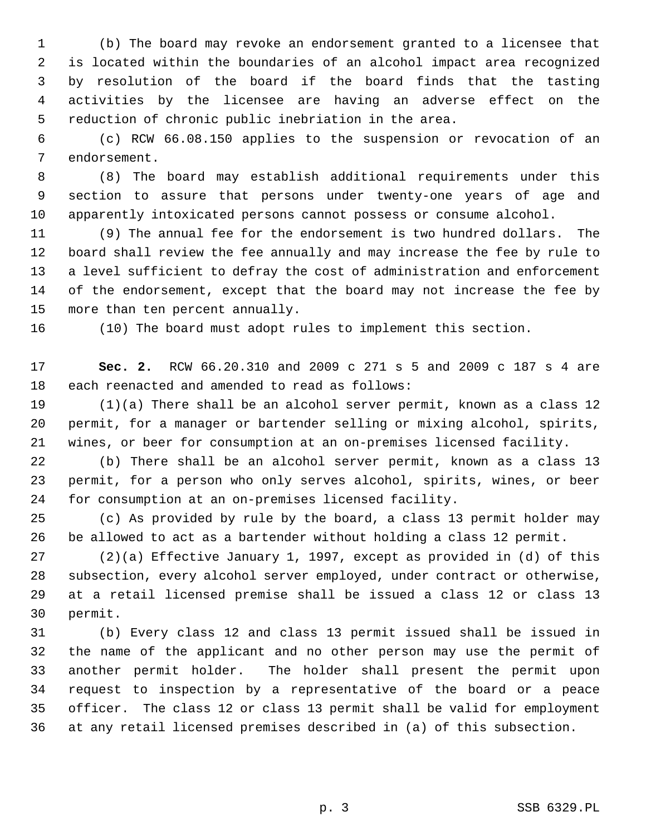1 (b) The board may revoke an endorsement granted to a licensee that 2 is located within the boundaries of an alcohol impact area recognized 3 by resolution of the board if the board finds that the tasting 4 activities by the licensee are having an adverse effect on the 5 reduction of chronic public inebriation in the area.

 6 (c) RCW 66.08.150 applies to the suspension or revocation of an 7 endorsement.

 8 (8) The board may establish additional requirements under this 9 section to assure that persons under twenty-one years of age and 10 apparently intoxicated persons cannot possess or consume alcohol.

11 (9) The annual fee for the endorsement is two hundred dollars. The 12 board shall review the fee annually and may increase the fee by rule to 13 a level sufficient to defray the cost of administration and enforcement 14 of the endorsement, except that the board may not increase the fee by 15 more than ten percent annually.

16 (10) The board must adopt rules to implement this section.

17 **Sec. 2.** RCW 66.20.310 and 2009 c 271 s 5 and 2009 c 187 s 4 are 18 each reenacted and amended to read as follows:

19 (1)(a) There shall be an alcohol server permit, known as a class 12 20 permit, for a manager or bartender selling or mixing alcohol, spirits, 21 wines, or beer for consumption at an on-premises licensed facility.

22 (b) There shall be an alcohol server permit, known as a class 13 23 permit, for a person who only serves alcohol, spirits, wines, or beer 24 for consumption at an on-premises licensed facility.

25 (c) As provided by rule by the board, a class 13 permit holder may 26 be allowed to act as a bartender without holding a class 12 permit.

27 (2)(a) Effective January 1, 1997, except as provided in (d) of this 28 subsection, every alcohol server employed, under contract or otherwise, 29 at a retail licensed premise shall be issued a class 12 or class 13 30 permit.

31 (b) Every class 12 and class 13 permit issued shall be issued in 32 the name of the applicant and no other person may use the permit of 33 another permit holder. The holder shall present the permit upon 34 request to inspection by a representative of the board or a peace 35 officer. The class 12 or class 13 permit shall be valid for employment 36 at any retail licensed premises described in (a) of this subsection.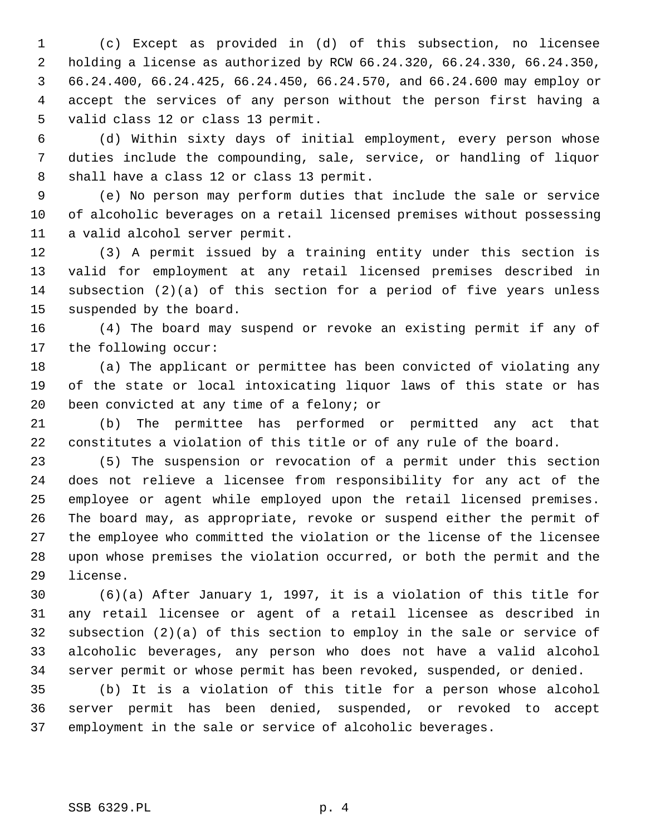1 (c) Except as provided in (d) of this subsection, no licensee 2 holding a license as authorized by RCW 66.24.320, 66.24.330, 66.24.350, 3 66.24.400, 66.24.425, 66.24.450, 66.24.570, and 66.24.600 may employ or 4 accept the services of any person without the person first having a 5 valid class 12 or class 13 permit.

 6 (d) Within sixty days of initial employment, every person whose 7 duties include the compounding, sale, service, or handling of liquor 8 shall have a class 12 or class 13 permit.

 9 (e) No person may perform duties that include the sale or service 10 of alcoholic beverages on a retail licensed premises without possessing 11 a valid alcohol server permit.

12 (3) A permit issued by a training entity under this section is 13 valid for employment at any retail licensed premises described in 14 subsection (2)(a) of this section for a period of five years unless 15 suspended by the board.

16 (4) The board may suspend or revoke an existing permit if any of 17 the following occur:

18 (a) The applicant or permittee has been convicted of violating any 19 of the state or local intoxicating liquor laws of this state or has 20 been convicted at any time of a felony; or

21 (b) The permittee has performed or permitted any act that 22 constitutes a violation of this title or of any rule of the board.

23 (5) The suspension or revocation of a permit under this section 24 does not relieve a licensee from responsibility for any act of the 25 employee or agent while employed upon the retail licensed premises. 26 The board may, as appropriate, revoke or suspend either the permit of 27 the employee who committed the violation or the license of the licensee 28 upon whose premises the violation occurred, or both the permit and the 29 license.

30 (6)(a) After January 1, 1997, it is a violation of this title for 31 any retail licensee or agent of a retail licensee as described in 32 subsection (2)(a) of this section to employ in the sale or service of 33 alcoholic beverages, any person who does not have a valid alcohol 34 server permit or whose permit has been revoked, suspended, or denied.

35 (b) It is a violation of this title for a person whose alcohol 36 server permit has been denied, suspended, or revoked to accept 37 employment in the sale or service of alcoholic beverages.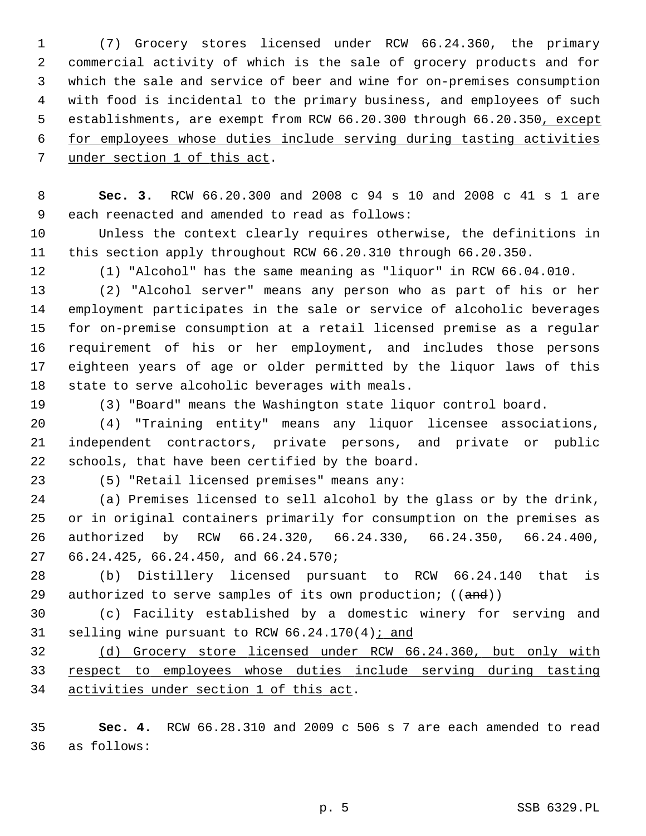1 (7) Grocery stores licensed under RCW 66.24.360, the primary 2 commercial activity of which is the sale of grocery products and for 3 which the sale and service of beer and wine for on-premises consumption 4 with food is incidental to the primary business, and employees of such 5 establishments, are exempt from RCW 66.20.300 through 66.20.350, except 6 for employees whose duties include serving during tasting activities 7 under section 1 of this act.

 8 **Sec. 3.** RCW 66.20.300 and 2008 c 94 s 10 and 2008 c 41 s 1 are 9 each reenacted and amended to read as follows:

10 Unless the context clearly requires otherwise, the definitions in 11 this section apply throughout RCW 66.20.310 through 66.20.350.

12 (1) "Alcohol" has the same meaning as "liquor" in RCW 66.04.010.

13 (2) "Alcohol server" means any person who as part of his or her 14 employment participates in the sale or service of alcoholic beverages 15 for on-premise consumption at a retail licensed premise as a regular 16 requirement of his or her employment, and includes those persons 17 eighteen years of age or older permitted by the liquor laws of this 18 state to serve alcoholic beverages with meals.

19 (3) "Board" means the Washington state liquor control board.

20 (4) "Training entity" means any liquor licensee associations, 21 independent contractors, private persons, and private or public 22 schools, that have been certified by the board.

23 (5) "Retail licensed premises" means any:

24 (a) Premises licensed to sell alcohol by the glass or by the drink, 25 or in original containers primarily for consumption on the premises as 26 authorized by RCW 66.24.320, 66.24.330, 66.24.350, 66.24.400, 27 66.24.425, 66.24.450, and 66.24.570;

28 (b) Distillery licensed pursuant to RCW 66.24.140 that is 29 authorized to serve samples of its own production;  $((and))$ 

30 (c) Facility established by a domestic winery for serving and 31 selling wine pursuant to RCW 66.24.170(4); and

32 (d) Grocery store licensed under RCW 66.24.360, but only with 33 respect to employees whose duties include serving during tasting 34 activities under section 1 of this act.

35 **Sec. 4.** RCW 66.28.310 and 2009 c 506 s 7 are each amended to read 36 as follows: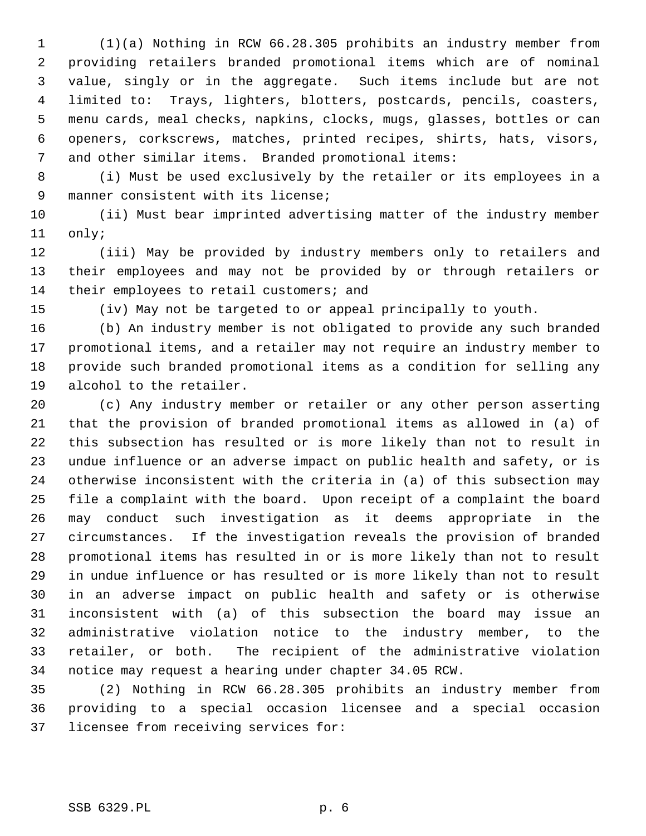1 (1)(a) Nothing in RCW 66.28.305 prohibits an industry member from 2 providing retailers branded promotional items which are of nominal 3 value, singly or in the aggregate. Such items include but are not 4 limited to: Trays, lighters, blotters, postcards, pencils, coasters, 5 menu cards, meal checks, napkins, clocks, mugs, glasses, bottles or can 6 openers, corkscrews, matches, printed recipes, shirts, hats, visors, 7 and other similar items. Branded promotional items:

 8 (i) Must be used exclusively by the retailer or its employees in a 9 manner consistent with its license;

10 (ii) Must bear imprinted advertising matter of the industry member 11 only;

12 (iii) May be provided by industry members only to retailers and 13 their employees and may not be provided by or through retailers or 14 their employees to retail customers; and

15 (iv) May not be targeted to or appeal principally to youth.

16 (b) An industry member is not obligated to provide any such branded 17 promotional items, and a retailer may not require an industry member to 18 provide such branded promotional items as a condition for selling any 19 alcohol to the retailer.

20 (c) Any industry member or retailer or any other person asserting 21 that the provision of branded promotional items as allowed in (a) of 22 this subsection has resulted or is more likely than not to result in 23 undue influence or an adverse impact on public health and safety, or is 24 otherwise inconsistent with the criteria in (a) of this subsection may 25 file a complaint with the board. Upon receipt of a complaint the board 26 may conduct such investigation as it deems appropriate in the 27 circumstances. If the investigation reveals the provision of branded 28 promotional items has resulted in or is more likely than not to result 29 in undue influence or has resulted or is more likely than not to result 30 in an adverse impact on public health and safety or is otherwise 31 inconsistent with (a) of this subsection the board may issue an 32 administrative violation notice to the industry member, to the 33 retailer, or both. The recipient of the administrative violation 34 notice may request a hearing under chapter 34.05 RCW.

35 (2) Nothing in RCW 66.28.305 prohibits an industry member from 36 providing to a special occasion licensee and a special occasion 37 licensee from receiving services for: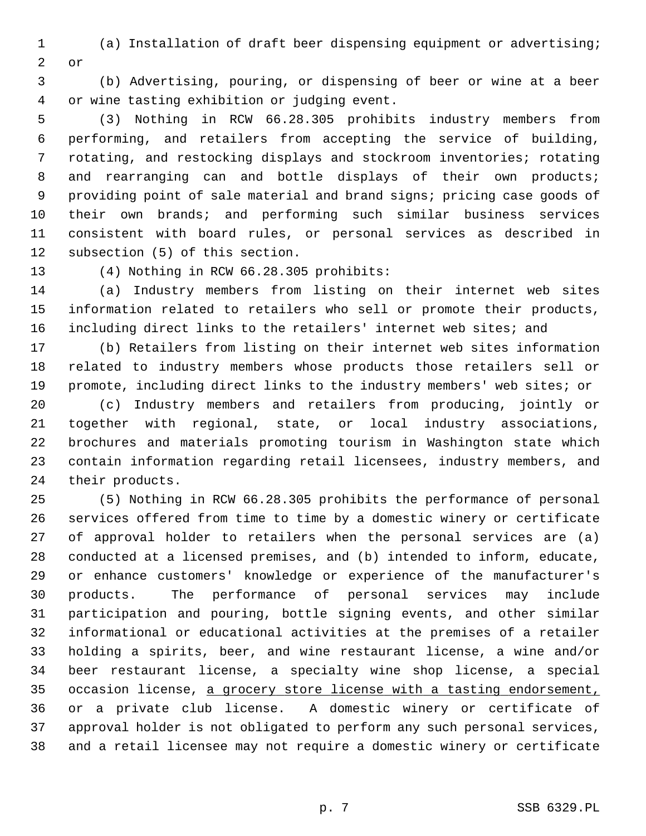1 (a) Installation of draft beer dispensing equipment or advertising; 2 or

 3 (b) Advertising, pouring, or dispensing of beer or wine at a beer 4 or wine tasting exhibition or judging event.

 5 (3) Nothing in RCW 66.28.305 prohibits industry members from 6 performing, and retailers from accepting the service of building, 7 rotating, and restocking displays and stockroom inventories; rotating 8 and rearranging can and bottle displays of their own products; 9 providing point of sale material and brand signs; pricing case goods of 10 their own brands; and performing such similar business services 11 consistent with board rules, or personal services as described in 12 subsection (5) of this section.

13 (4) Nothing in RCW 66.28.305 prohibits:

14 (a) Industry members from listing on their internet web sites 15 information related to retailers who sell or promote their products, 16 including direct links to the retailers' internet web sites; and

17 (b) Retailers from listing on their internet web sites information 18 related to industry members whose products those retailers sell or 19 promote, including direct links to the industry members' web sites; or 20 (c) Industry members and retailers from producing, jointly or 21 together with regional, state, or local industry associations, 22 brochures and materials promoting tourism in Washington state which 23 contain information regarding retail licensees, industry members, and 24 their products.

25 (5) Nothing in RCW 66.28.305 prohibits the performance of personal 26 services offered from time to time by a domestic winery or certificate 27 of approval holder to retailers when the personal services are (a) 28 conducted at a licensed premises, and (b) intended to inform, educate, 29 or enhance customers' knowledge or experience of the manufacturer's 30 products. The performance of personal services may include 31 participation and pouring, bottle signing events, and other similar 32 informational or educational activities at the premises of a retailer 33 holding a spirits, beer, and wine restaurant license, a wine and/or 34 beer restaurant license, a specialty wine shop license, a special 35 occasion license, a grocery store license with a tasting endorsement, 36 or a private club license. A domestic winery or certificate of 37 approval holder is not obligated to perform any such personal services, 38 and a retail licensee may not require a domestic winery or certificate